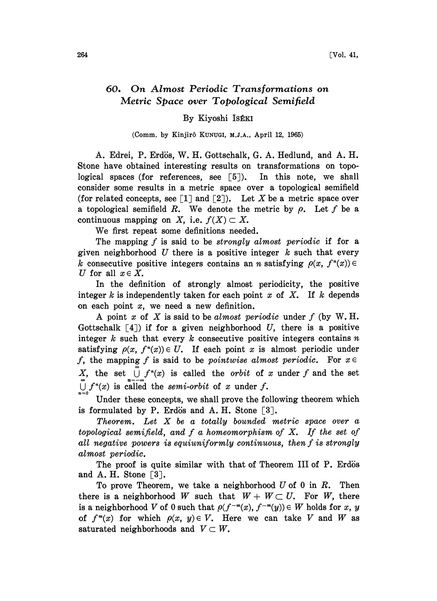## 60. On Almost Periodic Transformations on Metric Space over Topological Semifield

## By Kiyoshi Is£KI

## (Comm. by Kinjirô KUNUGI, M.J.A., April 12, 1965)

A. Edrei, P. Erdis, W. H. Gottschalk, G. A. Hedlund, and A. H. Stone have obtained interesting results on transformations on topological spaces (for references, see  $[5]$ ). In this note, we shall consider some results in a metric space over a topological semifield (for related concepts, see  $\lceil 1 \rceil$  and  $\lceil 2 \rceil$ ). Let X be a metric space over a topological semifield R. We denote the metric by  $\rho$ . Let f be a continuous mapping on X, i.e.  $f(X) \subset X$ .

We first repeat some definitions needed.

The mapping  $f$  is said to be *strongly almost periodic* if for a given neighborhood  $U$  there is a positive integer  $k$  such that every k consecutive positive integers contains an n satisfying  $\rho(x, f^*(x)) \in$ U for all  $x \in X$ .

In the definition of strongly almost periodicity, the positive integer  $k$  is independently taken for each point  $x$  of  $X$ . If  $k$  depends on each point  $x$ , we need a new definition.

A point x of X is said to be almost periodic under  $f$  (by W.H. Gottschalk  $\lceil 4 \rceil$ ) if for a given neighborhood U, there is a positive integer k such that every k consecutive positive integers contains  $n$ satisfying  $\rho(x, f^*(x)) \in U$ . If each point x is almost periodic under f, the mapping f is said to be pointwise almost periodic. For  $x \in$ X, the set  $\bigcup f^{n}(x)$  is called the *orbit* of x under f and the set  $\bigcup_{n=0} f^{n}(x)$  is called the semi-orbit of x under f.

Under these concepts, we shall prove the following theorem which is formulated by P. Erdös and A. H. Stone  $\lceil 3 \rceil$ .

Theorem. Let X be <sup>a</sup> totally bounded metric space over <sup>a</sup> topological semifield, and  $f$  a homeomorphism of  $X$ . If the set of all negative powers is equiuniformly continuous, then f is strongly almost periodic.

The proof is quite similar with that of Theorem III of P. Erdös and A. H. Stone  $[3]$ .

To prove Theorem, we take a neighborhood  $U$  of 0 in  $R$ . Then there is a neighborhood W such that  $W+W\subset U$ . For W, there is a neighborhood V of 0 such that  $\rho(f^{-m}(x), f^{-m}(y)) \in W$  holds for x, y of  $f^m(x)$  for which  $\rho(x, y) \in V$ . Here we can take V and W as saturated neighborhoods and  $V \subset W$ .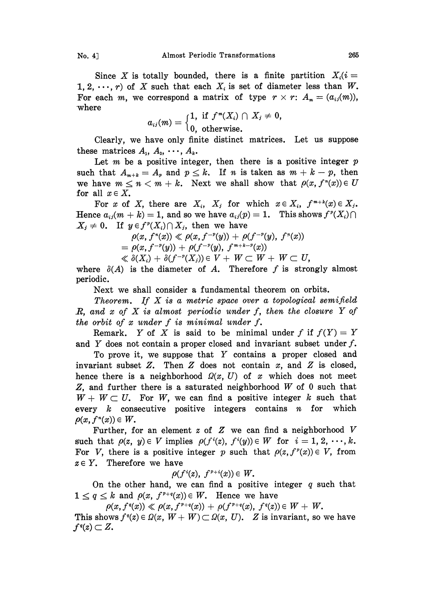Since X is totally bounded, there is a finite partition  $X_i(i)$ 1, 2,  $\cdots$ , r) of X such that each  $X_i$  is set of diameter less than W. For each m, we correspond a matrix of type  $r \times r$ :  $A_m = (a_{ij}(m))$ , where

$$
a_{ij}(m) = \begin{cases} 1, & \text{if } f^m(X_i) \cap X_j \neq 0, \\ 0, & \text{otherwise.} \end{cases}
$$

Clearly, we have only finite distinct matrices. Let us suppose these matrices  $A_1, A_2, \cdots, A_k$ .

Let  $m$  be a positive integer, then there is a positive integer  $p$ such that  $A_{m+k}=A_p$  and  $p\leq k$ . If n is taken as  $m+k-p$ , then we have  $m \leq n < m+k$ . Next we shall show that  $\rho(x, f^*(x)) \in U$ for all  $x \in X$ .

For x of X, there are  $X_i$ ,  $X_j$  for which  $x \in X_i$ ,  $f^{m+k}(x) \in X_j$ . Hence  $a_{ij}(m + k) = 1$ , and so we have  $a_{ij}(p) = 1$ . This shows  $f^p(X_i) \cap$  $X_j \neq 0$ . If  $y \in f^{p}(X_i) \cap X_j$ , then we have

$$
\rho(x, f^{n}(x)) \ll \rho(x, f^{-p}(y)) + \rho(f^{-p}(y), f^{n}(x))
$$
  
=  $\rho(x, f^{-p}(y)) + \rho(f^{-p}(y), f^{m+k-p}(x))$ 

 $\ll \delta(X_i)+\delta(f^{-p}(X_j))\in V+\ W\subset\ W+\ W\subset\ U,$ 

where  $\delta(A)$  is the diameter of A. Therefore f is strongly almost periodic.

Next we shall consider a fundamental theorem on orbits.

Theorem. If  $X$  is a metric space over a topological semifield  $R$ , and  $x$  of  $X$  is almost periodic under  $f$ , then the closure  $Y$  of the orbit of  $x$  under  $f$  is minimal under  $f$ .

Remark. Y of X is said to be minimal under f if  $f(Y) = Y$ and Y does not contain a proper closed and invariant subset under  $f$ .

To prove it, we suppose that Y contains <sup>a</sup> proper closed and invariant subset Z. Then Z does not contain  $x$ , and Z is closed, hence there is a neighborhood  $\Omega(x, U)$  of x which does not meet Z, and further there is a saturated neighborhood W of 0 such that  $W + W \subset U$ . For W, we can find a positive integer k such that every  $k$  consecutive positive integers contains  $n$  for which  $\rho(x, f^*(x)) \in W$ .

Further, for an element  $z$  of  $Z$  we can find a neighborhood  $V$ such that  $\rho(z, y) \in V$  implies  $\rho(f'(z), f'(y)) \in W$  for  $i = 1, 2, \dots, k$ . For V, there is a positive integer p such that  $\rho(z, f^{\nu}(x)) \in V$ , from  $z \in Y$ . Therefore we have

$$
\rho(f^i(z), f^{p+i}(x)) \in W.
$$

On the other hand, we can find a positive integer  $q$  such that  $1 \le q \le k$  and  $\rho(x, f^{p+q}(x)) \in W$ . Hence we have

 $\rho(x, f^q(x)) \ll \rho(x, f^{p+q}(x)) + \rho(f^{p+q}(x), f^q(z)) \in W + W$ .

This shows  $f'(z) \in \Omega(x, W+W) \subset \Omega(x, U)$ . Z is invariant, so we have  $f<sup>q</sup>(z) \subset Z$ .